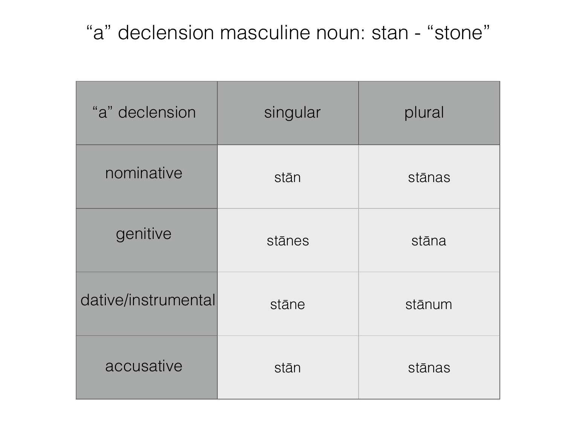#### "a" declension masculine noun: stan - "stone"

| "a" declension      | singular | plural |
|---------------------|----------|--------|
| nominative          | stān     | stānas |
| genitive            | stānes   | stāna  |
| dative/instrumental | stāne    | stānum |
| accusative          | stān     | stānas |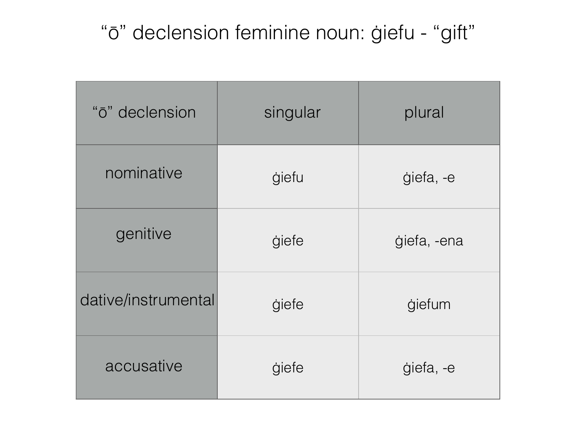# "ō" declension feminine noun: ġiefu - "gift"

| "ō" declension      | singular     | plural      |
|---------------------|--------------|-------------|
| nominative          | <i>giefu</i> | giefa, -e   |
| genitive            | giefe        | giefa, -ena |
| dative/instrumental | giefe        | giefum      |
| accusative          | giefe        | giefa, -e   |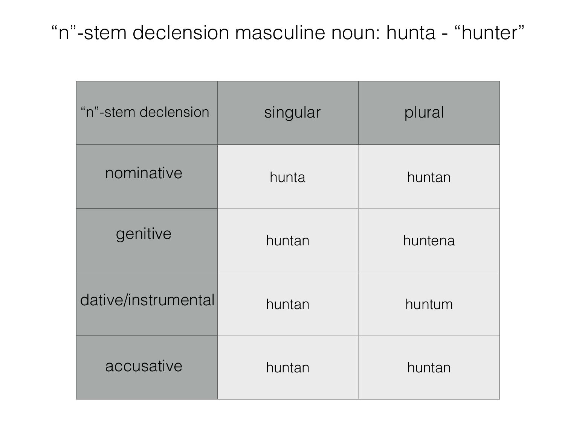### "n"-stem declension masculine noun: hunta - "hunter"

| "n"-stem declension | singular | plural  |
|---------------------|----------|---------|
| nominative          | hunta    | huntan  |
| genitive            | huntan   | huntena |
| dative/instrumental | huntan   | huntum  |
| accusative          | huntan   | huntan  |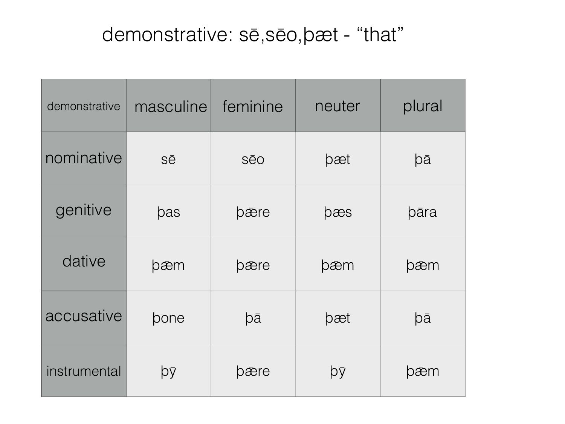### demonstrative: sē, sēo, bæt - "that"

| demonstrative | masculine | feminine   | neuter | plural |
|---------------|-----------|------------|--------|--------|
| nominative    | Sē        | <b>SēO</b> | pæt    | þā     |
| genitive      | pas       | pære       | pæs    | bāra   |
| dative        | þæm       | pære       | þæm    | þæm    |
| accusative    | pone      | þā         | þæt    | þā     |
| instrumental  | þÿ        | pære       | þÿ     | þæm    |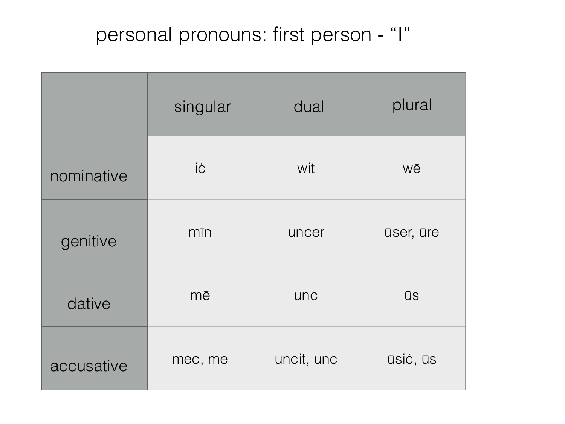# personal pronouns: first person - "I"

|            | singular   | dual       | plural    |
|------------|------------|------------|-----------|
| nominative | İĊ         | wit        | Wē        |
| genitive   | $m\bar{m}$ | uncer      | ūser, ūre |
| dative     | mē         | unc        | <b>ŪS</b> |
| accusative | mec, mē    | uncit, unc | ūsiċ, ūs  |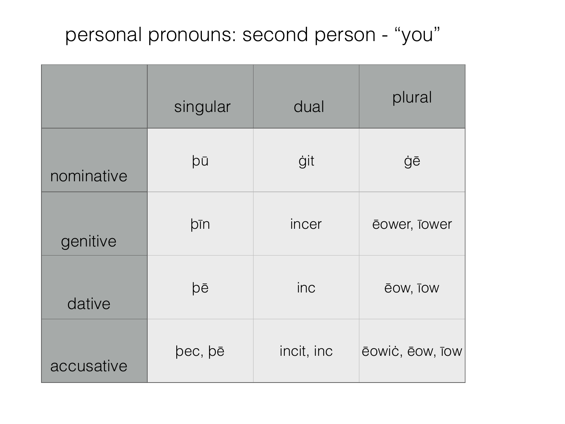### personal pronouns: second person - "you"

|            | singular | dual       | plural          |
|------------|----------|------------|-----------------|
| nominative | þū       | ġit        | ġē              |
| genitive   | þīn      | incer      | ēower, Tower    |
| dative     | þē       | inc        | ēow, Tow        |
| accusative | pec, pē  | incit, inc | ēowić, ēow, īow |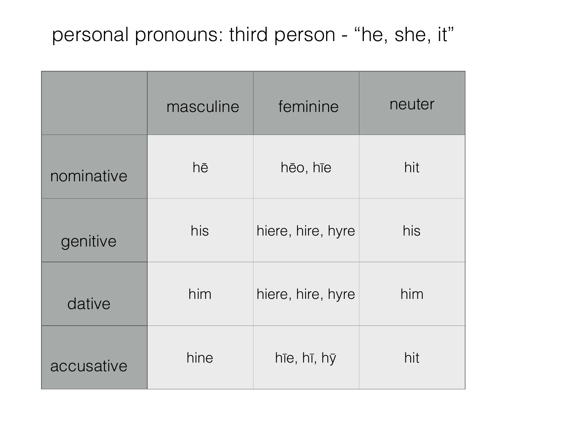# personal pronouns: third person - "he, she, it"

|            | masculine | feminine          | neuter |
|------------|-----------|-------------------|--------|
| nominative | hē        | hēo, hīe          | hit    |
| genitive   | his       | hiere, hire, hyre | his    |
| dative     | him       | hiere, hire, hyre | him    |
| accusative | hine      | hīe, hī, hy       | hit    |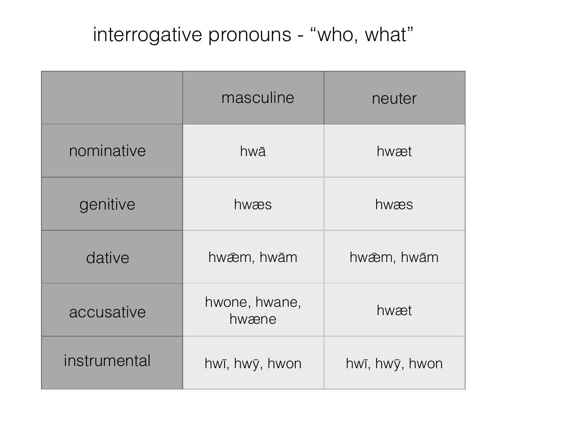# interrogative pronouns - "who, what"

|              | masculine              | neuter         |
|--------------|------------------------|----------------|
| nominative   | hwā                    | hwæt           |
| genitive     | hwæs                   | hwæs           |
| dative       | hwæm, hwām             | hwæm, hwām     |
| accusative   | hwone, hwane,<br>hwæne | hwæt           |
| instrumental | hwī, hwy, hwon         | hwī, hwy, hwon |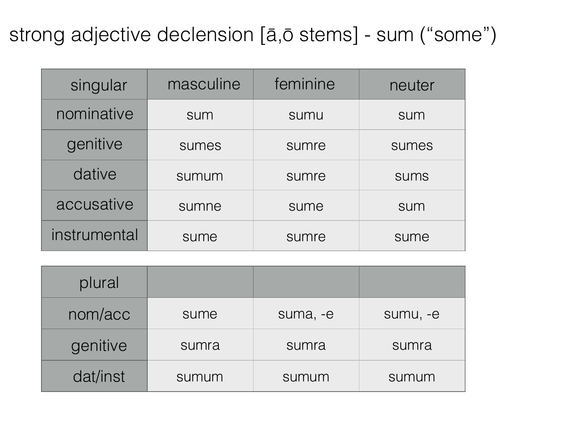## strong adjective declension [ā,ō stems] - sum ("some")

| singular     | masculine | feminine | neuter      |
|--------------|-----------|----------|-------------|
| nominative   | sum       | sumu     | sum         |
| genitive     | sumes     | sumre    | sumes       |
| dative       | sumum     | sumre    | <b>SUMS</b> |
| accusative   | sumne     | sume     | sum         |
| instrumental | sume      | sumre    | sume        |

| plural   |       |          |          |
|----------|-------|----------|----------|
| nom/acc  | sume  | suma, -e | sumu, -e |
| genitive | sumra | sumra    | sumra    |
| dat/inst | sumum | sumum    | sumum    |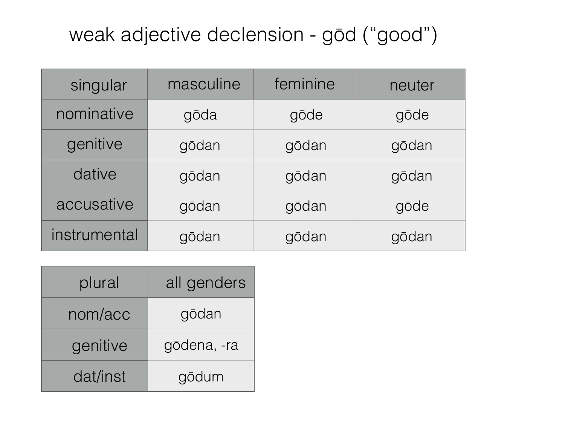## weak adjective declension - gōd ("good")

| singular     | masculine | feminine | neuter |
|--------------|-----------|----------|--------|
| nominative   | gōda      | gōde     | gōde   |
| genitive     | gōdan     | gōdan    | gōdan  |
| dative       | gōdan     | gōdan    | gōdan  |
| accusative   | gōdan     | gōdan    | gōde   |
| instrumental | gōdan     | gōdan    | gōdan  |

| plural   | all genders |
|----------|-------------|
| nom/acc  | gōdan       |
| genitive | gōdena, -ra |
| dat/inst | gōdum       |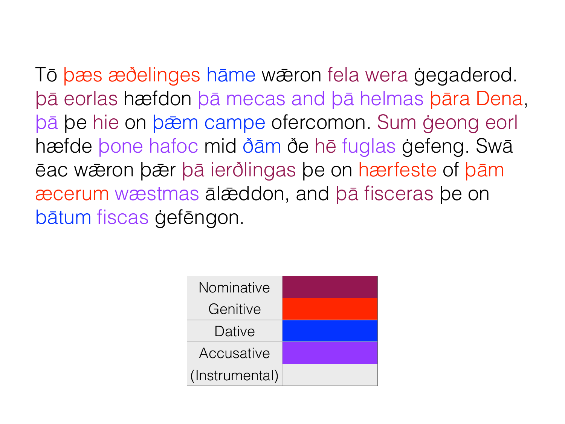Tō bæs æðelinges hāme wæron fela wera gegaderod. bā eorlas hæfdon bā mecas and bā helmas bāra Dena, bā be hie on bæm campe ofercomon. Sum geong eorl hæfde bone hafoc mid ðām ðe hē fuglas gefeng. Swā eac wæron bær ba ierðlingas be on hærfeste of bam æcerum wæstmas ālæddon, and bā fisceras be on bātum fiscas gefēngon.

| Nominative     |  |
|----------------|--|
| Genitive       |  |
| Dative         |  |
| Accusative     |  |
| (Instrumental) |  |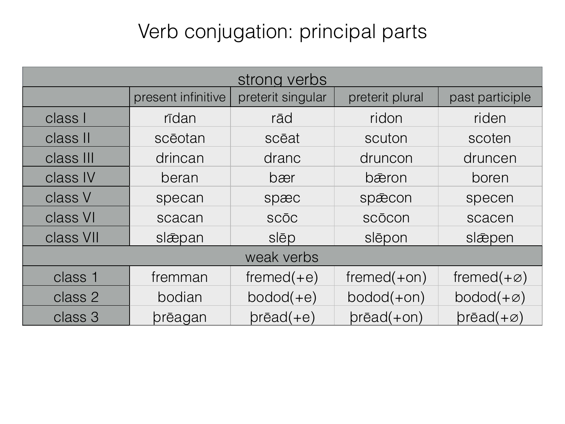# Verb conjugation: principal parts

| strong verbs |                    |                   |                    |                             |
|--------------|--------------------|-------------------|--------------------|-----------------------------|
|              | present infinitive | preterit singular | preterit plural    | past participle             |
| class I      | rīdan              | rād               | ridon              | riden                       |
| class II     | scēotan            | scēat             | scuton             | scoten                      |
| class III    | drincan            | dranc             | druncon            | druncen                     |
| class IV     | beran              | bær               | bæron              | boren                       |
| class V      | specan             | spæc              | spæcon             | specen                      |
| class VI     | scacan             | <b>SCOC</b>       | scōcon             | scacen                      |
| class VII    | slæpan             | slēp              | slēpon             | slæpen                      |
| weak verbs   |                    |                   |                    |                             |
| class 1      | fremman            | $fremed(+e)$      | $fremed(+on)$      | fremed $(+\infty)$          |
| class 2      | bodian             | $bodod(+e)$       | $bodod(+on)$       | $bodod(+\emptyset)$         |
| class 3      | prēagan            | $pr\bar{e}ad(+e)$ | $pr\bar{e}ad(+on)$ | $pr\bar{e}ad(+\varnothing)$ |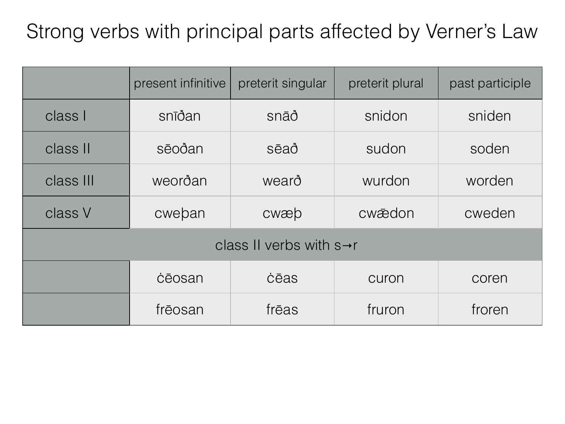# Strong verbs with principal parts affected by Verner's Law

|                                       | present infinitive | preterit singular | preterit plural | past participle |
|---------------------------------------|--------------------|-------------------|-----------------|-----------------|
| class I                               | snīðan             | snāð              | snidon          | sniden          |
| class II                              | sēoðan             | sēað              | sudon           | soden           |
| class III                             | weorðan            | wearð             | wurdon          | worden          |
| class V                               | cweban             | cwæb              | cwædon          | cweden          |
| class II verbs with $s \rightarrow r$ |                    |                   |                 |                 |
|                                       | cēosan             | cēas              | curon           | coren           |
|                                       | frēosan            | frēas             | fruron          | froren          |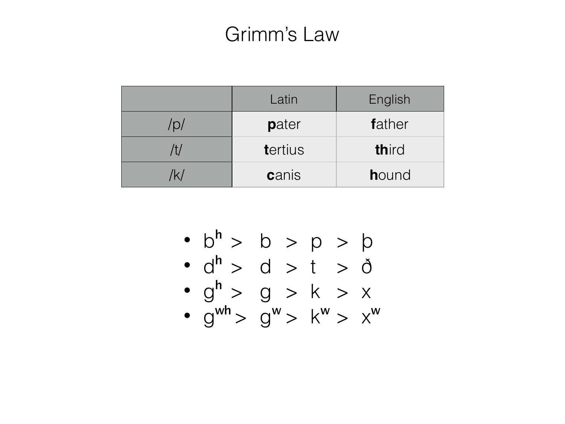## Grimm's Law

|              | Latin   | English |
|--------------|---------|---------|
| $\sqrt{D/2}$ | pater   | father  |
|              | tertius | third   |
|              | canis   | hound   |

- $b^{h} > b > p > p$ <br>•  $d^{h} > d > t > d$
- 
- $g^h > g > k > x$ <br>•  $g^{wh} > g^w > k^w > x^w$
-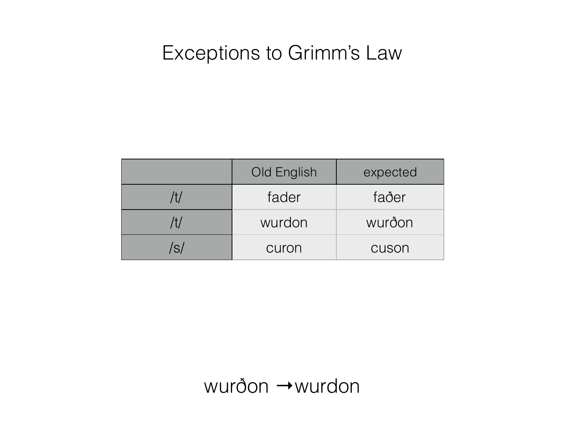#### Exceptions to Grimm's Law

|     | Old English | expected |
|-----|-------------|----------|
| /†/ | fader       | faðer    |
| /†/ | wurdon      | wurðon   |
| S   | curon       | cuson    |

 $wur\delta$ on  $\rightarrow$ wurdon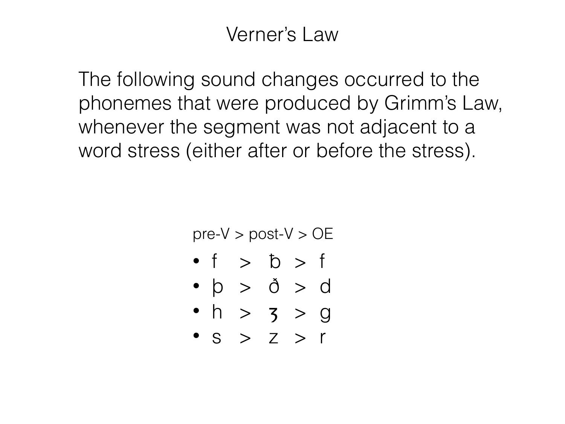## Verner's Law

The following sound changes occurred to the phonemes that were produced by Grimm's Law, whenever the segment was not adjacent to a word stress (either after or before the stress).

 $pre-V > post-V > OE$ 

- $\bullet$  f  $>$   $\circ$   $\circ$  f
- $\bullet$   $\phi$  >  $\delta$  > d
- $h > 3 > 9$
- $\bullet$  S > Z > r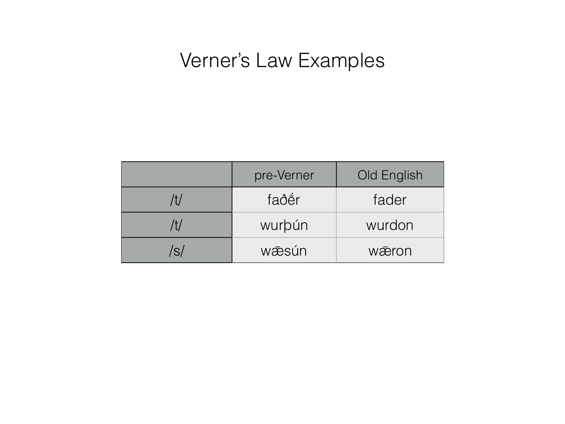## Verner's Law Examples

|     | pre-Verner | Old English |
|-----|------------|-------------|
| /†/ | faðer      | fader       |
| /†/ | wurbún     | wurdon      |
| 'S/ | wæsún      | wæron       |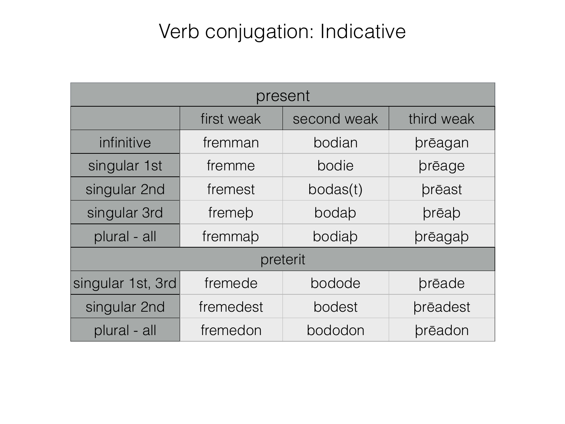# Verb conjugation: Indicative

| present           |            |             |                 |
|-------------------|------------|-------------|-----------------|
|                   | first weak | second weak | third weak      |
| infinitive        | fremman    | bodian      | prēagan         |
| singular 1st      | fremme     | bodie       | prēage          |
| singular 2nd      | fremest    | bodas(t)    | prēast          |
| singular 3rd      | fremeb     | bodab       | prēap           |
| plural - all      | fremmab    | bodiab      | prēagab         |
| preterit          |            |             |                 |
| singular 1st, 3rd | fremede    | bodode      | brēade          |
| singular 2nd      | fremedest  | bodest      | <b>prēadest</b> |
| plural - all      | fremedon   | bododon     | prēadon         |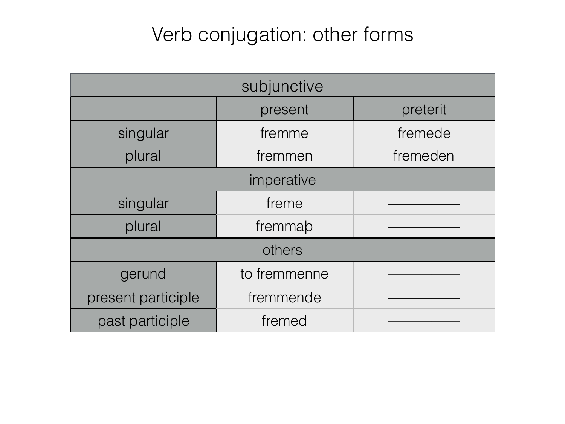# Verb conjugation: other forms

| subjunctive        |              |          |  |
|--------------------|--------------|----------|--|
|                    | present      | preterit |  |
| singular           | fremme       | fremede  |  |
| plural             | fremmen      | fremeden |  |
| imperative         |              |          |  |
| singular           | freme        |          |  |
| plural             | fremmap      |          |  |
| others             |              |          |  |
| gerund             | to fremmenne |          |  |
| present participle | fremmende    |          |  |
| past participle    | fremed       |          |  |